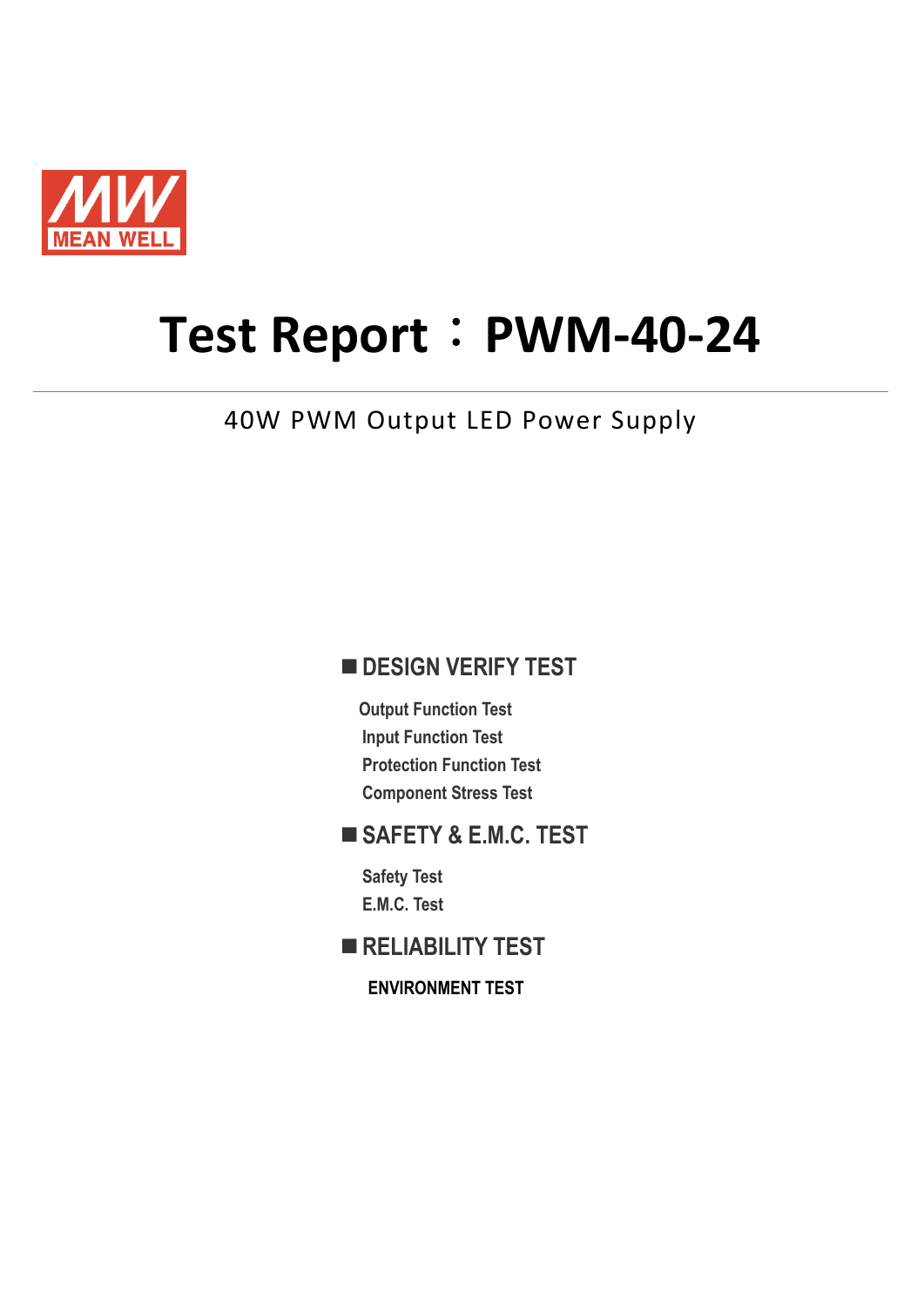

# **Test Report**:**PWM-40-24**

40W PWM Output LED Power Supply

# **DESIGN VERIFY TEST**

**Output Function Test Input Function Test Protection Function Test Component Stress Test** 

# **SAFETY & E.M.C. TEST**

**Safety Test E.M.C. Test** 

**RELIABILITY TEST** 

**ENVIRONMENT TEST**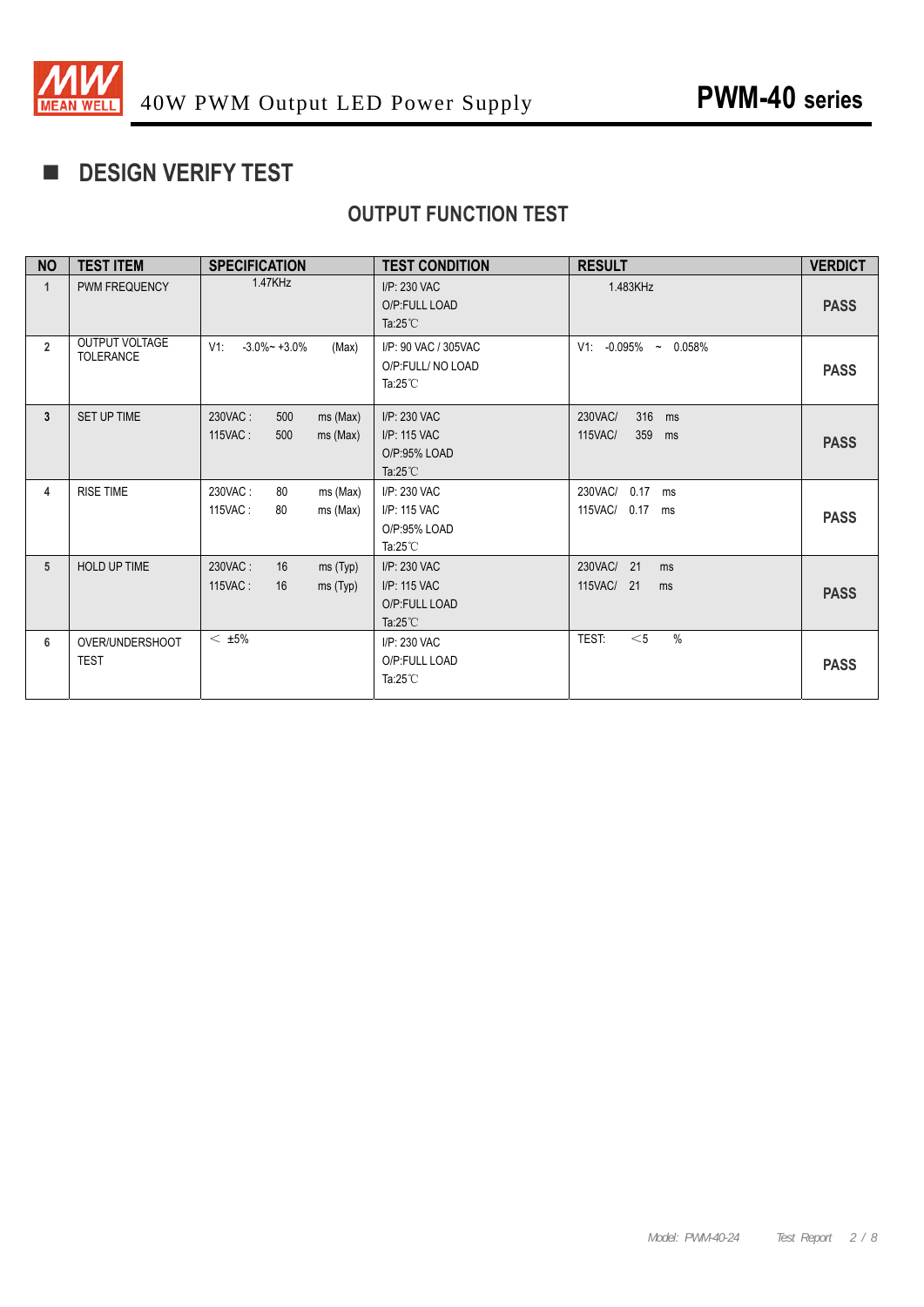

# **DESIGN VERIFY TEST**

# **OUTPUT FUNCTION TEST**

| <b>NO</b>      | <b>TEST ITEM</b>                   | <b>SPECIFICATION</b>                                       | <b>TEST CONDITION</b>                                               | <b>RESULT</b>                                        | <b>VERDICT</b> |
|----------------|------------------------------------|------------------------------------------------------------|---------------------------------------------------------------------|------------------------------------------------------|----------------|
| 1              | PWM FREQUENCY                      | 1.47KHz                                                    | I/P: 230 VAC<br>O/P:FULL LOAD<br>Ta: $25^{\circ}$ C                 | 1.483KHz                                             | <b>PASS</b>    |
| $\overline{2}$ | OUTPUT VOLTAGE<br><b>TOLERANCE</b> | $V1$ :<br>$-3.0\% - +3.0\%$<br>(Max)                       | I/P: 90 VAC / 305VAC<br>O/P:FULL/ NO LOAD<br>Ta: $25^{\circ}$ C     | $V1: -0.095\%$ ~ 0.058%                              | <b>PASS</b>    |
| 3              | SET UP TIME                        | 500<br>230VAC:<br>$ms$ (Max)<br>115VAC:<br>500<br>ms (Max) | I/P: 230 VAC<br>I/P: 115 VAC<br>O/P:95% LOAD<br>Ta: $25^{\circ}$ C  | 316 ms<br>230VAC/<br><b>115VAC/</b><br>359<br>ms     | <b>PASS</b>    |
| 4              | <b>RISE TIME</b>                   | 230VAC:<br>80<br>ms (Max)<br>ms (Max)<br>115VAC:<br>80     | I/P: 230 VAC<br>I/P: 115 VAC<br>O/P:95% LOAD<br>Ta: $25^{\circ}$ C  | 230VAC/<br>0.17<br>ms<br><b>115VAC/</b><br>$0.17$ ms | <b>PASS</b>    |
| 5              | <b>HOLD UP TIME</b>                | 230VAC:<br>16<br>ms(Typ)<br>115VAC:<br>16<br>ms(Typ)       | I/P: 230 VAC<br>I/P: 115 VAC<br>O/P:FULL LOAD<br>Ta: $25^{\circ}$ C | 230VAC/<br>21<br>ms<br>115VAC/<br>21<br>ms           | <b>PASS</b>    |
| 6              | OVER/UNDERSHOOT<br><b>TEST</b>     | $<$ $\pm 5\%$                                              | I/P: 230 VAC<br>O/P:FULL LOAD<br>Ta: $25^{\circ}$ C                 | $\frac{0}{0}$<br>TEST:<br>$<$ 5                      | <b>PASS</b>    |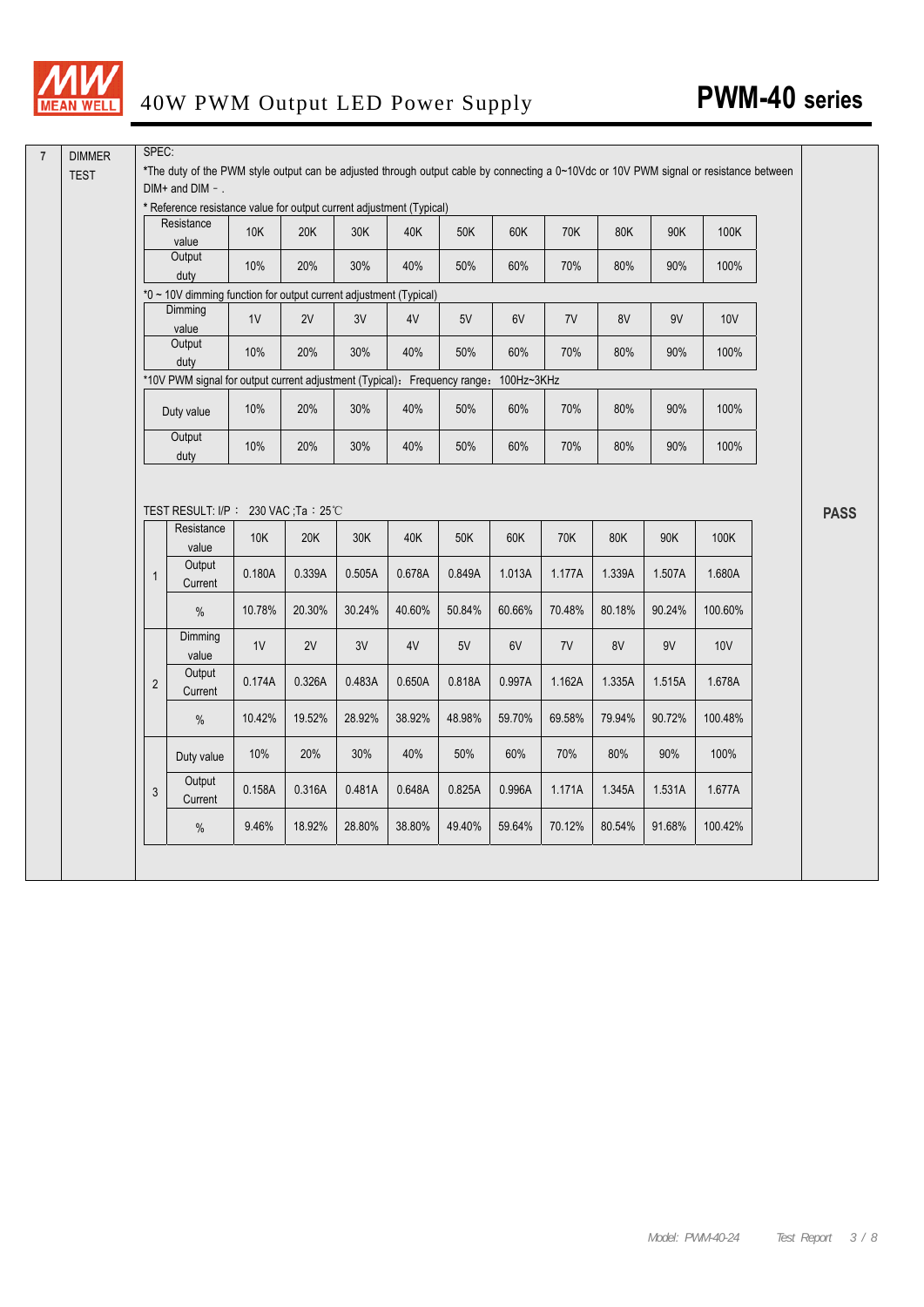

|              | * Reference resistance value for output current adjustment (Typical)<br>Resistance | 10K           | 20K           | 30K           | 40K           | 50K           | 60K           | 70K           | 80K           | 90K           | 100K           |
|--------------|------------------------------------------------------------------------------------|---------------|---------------|---------------|---------------|---------------|---------------|---------------|---------------|---------------|----------------|
|              | value<br>Output                                                                    | 10%           | 20%           | 30%           | 40%           | 50%           | 60%           | 70%           | 80%           | 90%           | 100%           |
|              | duty<br>*0 ~ 10V dimming function for output current adjustment (Typical)          |               |               |               |               |               |               |               |               |               |                |
|              | Dimming<br>value                                                                   | 1V            | 2V            | 3V            | 4V            | 5V            | 6V            | 7V            | 8V            | 9V            | 10V            |
|              | Output<br>duty                                                                     | 10%           | 20%           | 30%           | 40%           | 50%           | 60%           | 70%           | 80%           | 90%           | 100%           |
|              | *10V PWM signal for output current adjustment (Typical): Frequency range:          |               |               |               |               |               | 100Hz~3KHz    |               |               |               |                |
|              | Duty value                                                                         | 10%           | 20%           | 30%           | 40%           | 50%           | 60%           | 70%           | 80%           | 90%           | 100%           |
|              | Output<br>duty                                                                     | 10%           | 20%           | 30%           | 40%           | 50%           | 60%           | 70%           | 80%           | 90%           | 100%           |
|              | TEST RESULT: I/P: 230 VAC; Ta: 25°C                                                |               |               |               |               |               |               |               |               |               |                |
|              | Resistance<br>value<br>Output                                                      | 10K<br>0.180A | 20K<br>0.339A | 30K<br>0.505A | 40K<br>0.678A | 50K<br>0.849A | 60K<br>1.013A | 70K<br>1.177A | 80K<br>1.339A | 90K<br>1.507A | 100K<br>1.680A |
| $\mathbf{1}$ | Current<br>$\%$                                                                    | 10.78%        | 20.30%        | 30.24%        | 40.60%        | 50.84%        | 60.66%        | 70.48%        | 80.18%        | 90.24%        | 100.60%        |
|              | Dimming                                                                            | $1\mathrm{V}$ | 2V            | $3\mathrm{V}$ | 4V            | 5V            | 6V            | 7V            | 8V            | $9\mathrm{V}$ | <b>10V</b>     |
| $\mathbf{2}$ | value<br>Output<br>Current                                                         | 0.174A        | 0.326A        | 0.483A        | 0.650A        | 0.818A        | 0.997A        | 1.162A        | 1.335A        | 1.515A        | 1.678A         |
|              | $\%$                                                                               | 10.42%        | 19.52%        | 28.92%        | 38.92%        | 48.98%        | 59.70%        | 69.58%        | 79.94%        | 90.72%        | 100.48%        |
|              | Duty value                                                                         | 10%           | 20%           | 30%           | 40%           | 50%           | 60%           | 70%           | 80%           | 90%           | 100%           |
| 3            | Output<br>Current                                                                  | 0.158A        | 0.316A        | 0.481A        | 0.648A        | 0.825A        | 0.996A        | 1.171A        | 1.345A        | 1.531A        | 1.677A         |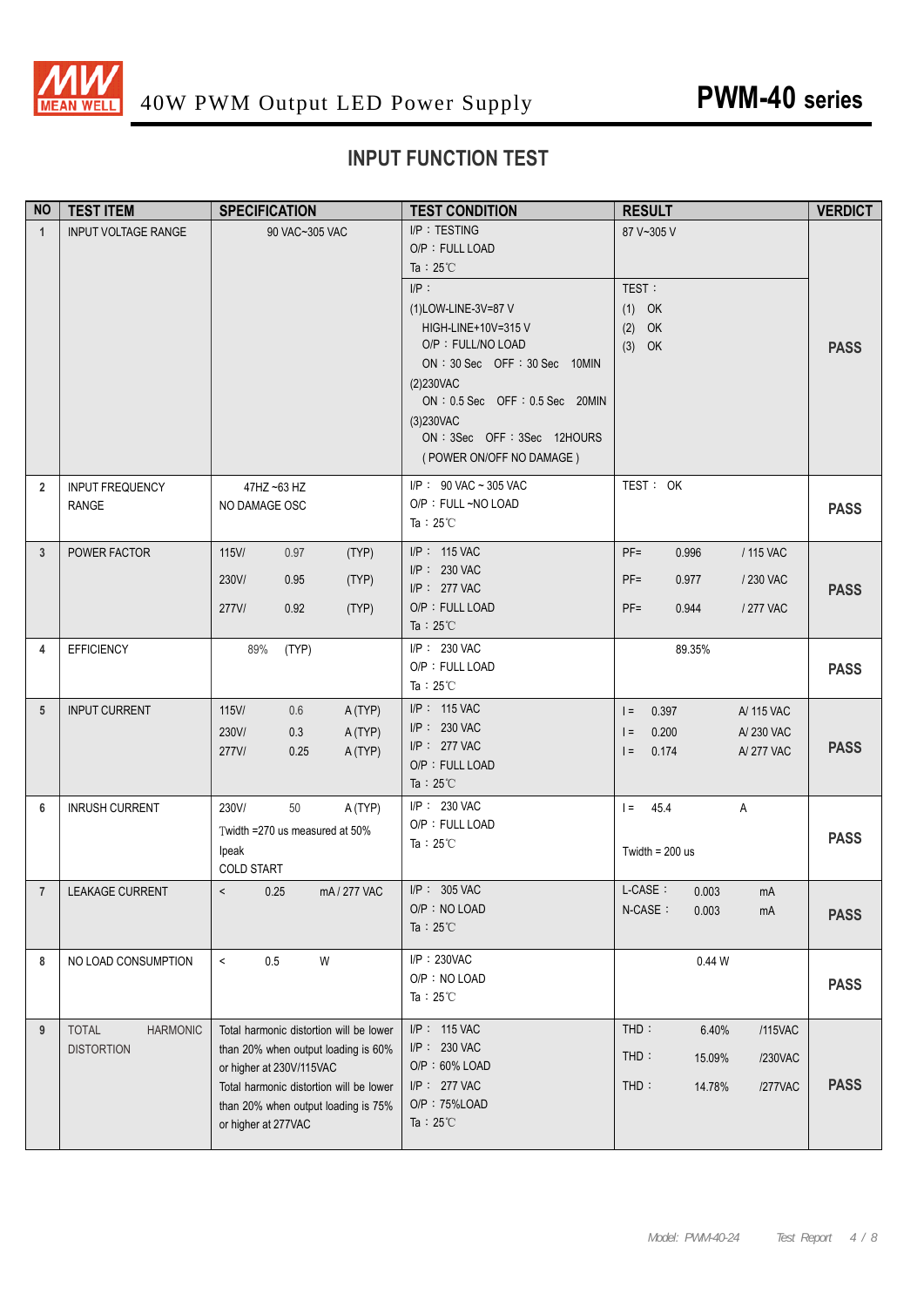

# **INPUT FUNCTION TEST**

| <b>NO</b>      | <b>TEST ITEM</b>                                     | <b>SPECIFICATION</b>                                                                                                                                                                                                | <b>TEST CONDITION</b>                                                                                                                                                                                                                                                                       | <b>RESULT</b>                                                                                | <b>VERDICT</b> |
|----------------|------------------------------------------------------|---------------------------------------------------------------------------------------------------------------------------------------------------------------------------------------------------------------------|---------------------------------------------------------------------------------------------------------------------------------------------------------------------------------------------------------------------------------------------------------------------------------------------|----------------------------------------------------------------------------------------------|----------------|
| $\mathbf{1}$   | <b>INPUT VOLTAGE RANGE</b>                           | 90 VAC~305 VAC                                                                                                                                                                                                      | I/P: TESTING<br>O/P: FULL LOAD<br>Ta : $25^{\circ}$ C<br>IP:<br>(1)LOW-LINE-3V=87 V<br>HIGH-LINE+10V=315 V<br>O/P: FULL/NO LOAD<br>ON : 30 Sec OFF : 30 Sec 10MIN<br>(2)230VAC<br>ON : 0.5 Sec OFF : 0.5 Sec 20MIN<br>(3)230VAC<br>ON : 3Sec OFF : 3Sec 12HOURS<br>(POWER ON/OFF NO DAMAGE) | 87 V~305 V<br>TEST:<br>$(1)$ OK<br>$(2)$ OK<br>$(3)$ OK                                      | <b>PASS</b>    |
| $\overline{2}$ | <b>INPUT FREQUENCY</b><br><b>RANGE</b>               | 47HZ ~63 HZ<br>NO DAMAGE OSC                                                                                                                                                                                        | I/P: 90 VAC ~ 305 VAC<br>O/P: FULL ~NO LOAD<br>Ta: $25^{\circ}$ C                                                                                                                                                                                                                           | TEST: OK                                                                                     | <b>PASS</b>    |
| 3              | POWER FACTOR                                         | 115V/<br>0.97<br>(TYP)<br>230V/<br>0.95<br>(TYP)<br>277V/<br>0.92<br>(TYP)                                                                                                                                          | I/P: 115 VAC<br>I/P: 230 VAC<br>I/P: 277 VAC<br>O/P: FULL LOAD<br>Ta: $25^{\circ}$ C                                                                                                                                                                                                        | $PF =$<br>0.996<br>/ 115 VAC<br>$PF =$<br>0.977<br>/ 230 VAC<br>$PF =$<br>0.944<br>/ 277 VAC | <b>PASS</b>    |
| 4              | <b>EFFICIENCY</b>                                    | 89%<br>(TYP)                                                                                                                                                                                                        | I/P: 230 VAC<br>O/P: FULL LOAD<br>Ta: $25^{\circ}$ C                                                                                                                                                                                                                                        | 89.35%                                                                                       | <b>PASS</b>    |
| 5              | <b>INPUT CURRENT</b>                                 | 115V/<br>0.6<br>A(TYP)<br>230V/<br>0.3<br>A (TYP)<br>277V/<br>A (TYP)<br>0.25                                                                                                                                       | I/P: 115 VAC<br>I/P: 230 VAC<br>I/P: 277 VAC<br>O/P: FULL LOAD<br>Ta: $25^{\circ}$ C                                                                                                                                                                                                        | 0.397<br>A/ 115 VAC<br>$=$<br>0.200<br>A/230 VAC<br>$=$<br>0.174<br>A/277 VAC<br>$=$         | <b>PASS</b>    |
| 6              | <b>INRUSH CURRENT</b>                                | 230V/<br>50<br>A(TYP)<br>Twidth =270 us measured at 50%<br>Ipeak<br><b>COLD START</b>                                                                                                                               | I/P: 230 VAC<br>O/P: FULL LOAD<br>Ta: $25^{\circ}$ C                                                                                                                                                                                                                                        | $I = 45.4$<br>Α<br>Twidth = $200$ us                                                         | <b>PASS</b>    |
| $\overline{7}$ | LEAKAGE CURRENT                                      | $\,<\,$<br>0.25<br>mA/277 VAC                                                                                                                                                                                       | $I/P$ : 305 VAC<br>O/P: NO LOAD<br>Ta: $25^{\circ}$ C                                                                                                                                                                                                                                       | L-CASE:<br>0.003<br>mA<br>N-CASE:<br>0.003<br>mA                                             | <b>PASS</b>    |
| 8              | NO LOAD CONSUMPTION                                  | $\,<\,$<br>$0.5\,$<br>W                                                                                                                                                                                             | I/P: 230VAC<br>O/P: NO LOAD<br>Ta: $25^{\circ}$ C                                                                                                                                                                                                                                           | 0.44W                                                                                        | <b>PASS</b>    |
| 9              | <b>TOTAL</b><br><b>HARMONIC</b><br><b>DISTORTION</b> | Total harmonic distortion will be lower<br>than 20% when output loading is 60%<br>or higher at 230V/115VAC<br>Total harmonic distortion will be lower<br>than 20% when output loading is 75%<br>or higher at 277VAC | I/P: 115 VAC<br>I/P: 230 VAC<br>$O/P: 60\%$ LOAD<br>I/P: 277 VAC<br>O/P: 75%LOAD<br>Ta: $25^{\circ}$ C                                                                                                                                                                                      | THD:<br>6.40%<br>/115VAC<br>$THD$ :<br>15.09%<br>/230VAC<br>THD:<br>14.78%<br>/277VAC        | <b>PASS</b>    |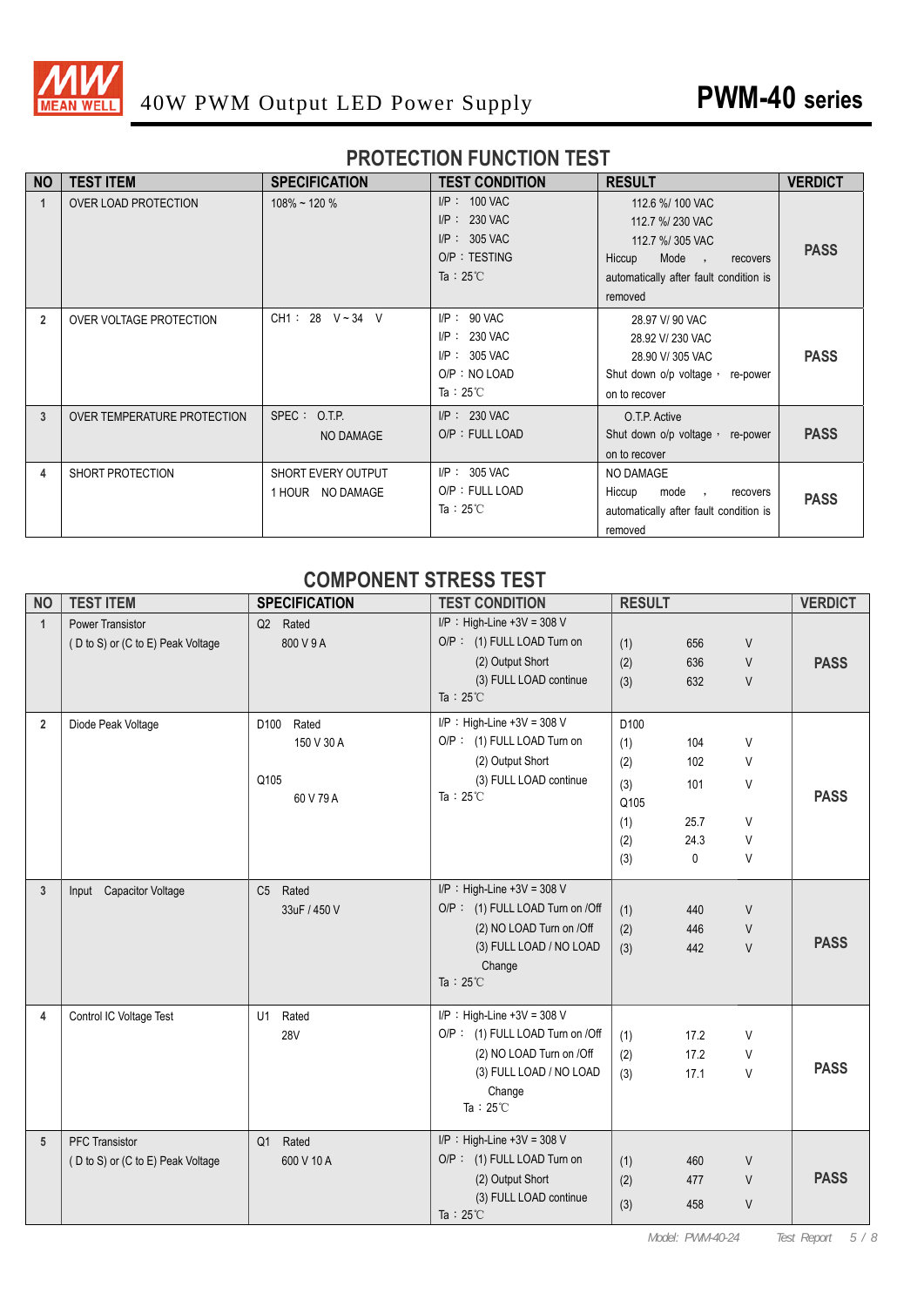

#### **PROTECTION FUNCTION TEST**

| <b>NO</b>      | <b>TEST ITEM</b>            | <b>SPECIFICATION</b>                          | <b>TEST CONDITION</b>                                                                       | <b>RESULT</b>                                                                                                                                | <b>VERDICT</b> |
|----------------|-----------------------------|-----------------------------------------------|---------------------------------------------------------------------------------------------|----------------------------------------------------------------------------------------------------------------------------------------------|----------------|
| $\mathbf{1}$   | OVER LOAD PROTECTION        | $108\%$ ~ 120 %                               | $I/P$ : 100 VAC<br>$I/P$ : 230 VAC<br>$I/P$ : 305 VAC<br>O/P: TESTING<br>Ta: $25^{\circ}$ C | 112.6 %/ 100 VAC<br>112.7 %/ 230 VAC<br>112.7 %/ 305 VAC<br>Mode,<br>Hiccup<br>recovers<br>automatically after fault condition is<br>removed | <b>PASS</b>    |
| $\overline{2}$ | OVER VOLTAGE PROTECTION     | $CH1: 28 \text{ V} \sim 34 \text{ V}$         | $I/P$ : 90 VAC<br>$I/P$ : 230 VAC<br>$I/P$ : 305 VAC<br>O/P : NO LOAD<br>Ta: $25^{\circ}$ C | 28.97 V/ 90 VAC<br>28.92 V/ 230 VAC<br>28.90 V/305 VAC<br>Shut down o/p voltage, re-power<br>on to recover                                   | <b>PASS</b>    |
| $\overline{3}$ | OVER TEMPERATURE PROTECTION | SPEC: O.T.P.<br>NO DAMAGE                     | $I/P$ : 230 VAC<br>O/P: FULL LOAD                                                           | O.T.P. Active<br>Shut down o/p voltage, re-power<br>on to recover                                                                            | <b>PASS</b>    |
| 4              | SHORT PROTECTION            | <b>SHORT EVERY OUTPUT</b><br>1 HOUR NO DAMAGE | $I/P$ : 305 VAC<br>O/P: FULL LOAD<br>Ta: $25^{\circ}$ C                                     | NO DAMAGE<br>Hiccup<br>mode,<br>recovers<br>automatically after fault condition is<br>removed                                                | <b>PASS</b>    |

#### **COMPONENT STRESS TEST**

| <b>NO</b>      | <b>TEST ITEM</b>                  | <b>SPECIFICATION</b> | <b>TEST CONDITION</b>           | <b>RESULT</b>    |      |        | <b>VERDICT</b> |
|----------------|-----------------------------------|----------------------|---------------------------------|------------------|------|--------|----------------|
| $\mathbf{1}$   | <b>Power Transistor</b>           | Q2 Rated             | $I/P$ : High-Line +3V = 308 V   |                  |      |        |                |
|                | (D to S) or (C to E) Peak Voltage | 800 V 9 A            | O/P: (1) FULL LOAD Turn on      | (1)              | 656  | V      |                |
|                |                                   |                      | (2) Output Short                | (2)              | 636  | $\vee$ | <b>PASS</b>    |
|                |                                   |                      | (3) FULL LOAD continue          | (3)              | 632  | $\vee$ |                |
|                |                                   |                      | Ta : $25^{\circ}$ C             |                  |      |        |                |
| $\overline{2}$ | Diode Peak Voltage                | Rated<br>D100        | $I/P$ : High-Line +3V = 308 V   | D <sub>100</sub> |      |        |                |
|                |                                   | 150 V 30 A           | O/P: (1) FULL LOAD Turn on      | (1)              | 104  | V      |                |
|                |                                   |                      | (2) Output Short                | (2)              | 102  | $\vee$ |                |
|                |                                   | Q105                 | (3) FULL LOAD continue          | (3)              | 101  | V      |                |
|                |                                   | 60 V 79 A            | Ta: $25^{\circ}$ C              | Q105             |      |        | <b>PASS</b>    |
|                |                                   |                      |                                 | (1)              | 25.7 | $\vee$ |                |
|                |                                   |                      |                                 | (2)              | 24.3 | V      |                |
|                |                                   |                      |                                 | (3)              | 0    | V      |                |
| 3              | Input Capacitor Voltage           | C5 Rated             | $I/P$ : High-Line +3V = 308 V   |                  |      |        |                |
|                |                                   | 33uF / 450 V         | O/P: (1) FULL LOAD Turn on /Off | (1)              | 440  | V      |                |
|                |                                   |                      | (2) NO LOAD Turn on /Off        | (2)              | 446  | V      |                |
|                |                                   |                      | (3) FULL LOAD / NO LOAD         | (3)              | 442  | $\vee$ | <b>PASS</b>    |
|                |                                   |                      | Change                          |                  |      |        |                |
|                |                                   |                      | Ta: $25^{\circ}$ C              |                  |      |        |                |
| 4              | Control IC Voltage Test           | Rated<br>U1          | I/P : High-Line +3V = 308 V     |                  |      |        |                |
|                |                                   | <b>28V</b>           | O/P: (1) FULL LOAD Turn on /Off | (1)              | 17.2 | V      |                |
|                |                                   |                      | (2) NO LOAD Turn on /Off        | (2)              | 17.2 | V      |                |
|                |                                   |                      | (3) FULL LOAD / NO LOAD         | (3)              | 17.1 | V      | <b>PASS</b>    |
|                |                                   |                      | Change                          |                  |      |        |                |
|                |                                   |                      | Ta: $25^{\circ}$ C              |                  |      |        |                |
| 5              | <b>PFC Transistor</b>             | Q1 Rated             | $I/P$ : High-Line +3V = 308 V   |                  |      |        |                |
|                | (D to S) or (C to E) Peak Voltage | 600 V 10 A           | O/P: (1) FULL LOAD Turn on      | (1)              | 460  | V      |                |
|                |                                   |                      | (2) Output Short                | (2)              | 477  | $\vee$ | <b>PASS</b>    |
|                |                                   |                      | (3) FULL LOAD continue          | (3)              | 458  | $\vee$ |                |
|                |                                   |                      | Ta: $25^{\circ}$ C              |                  |      |        |                |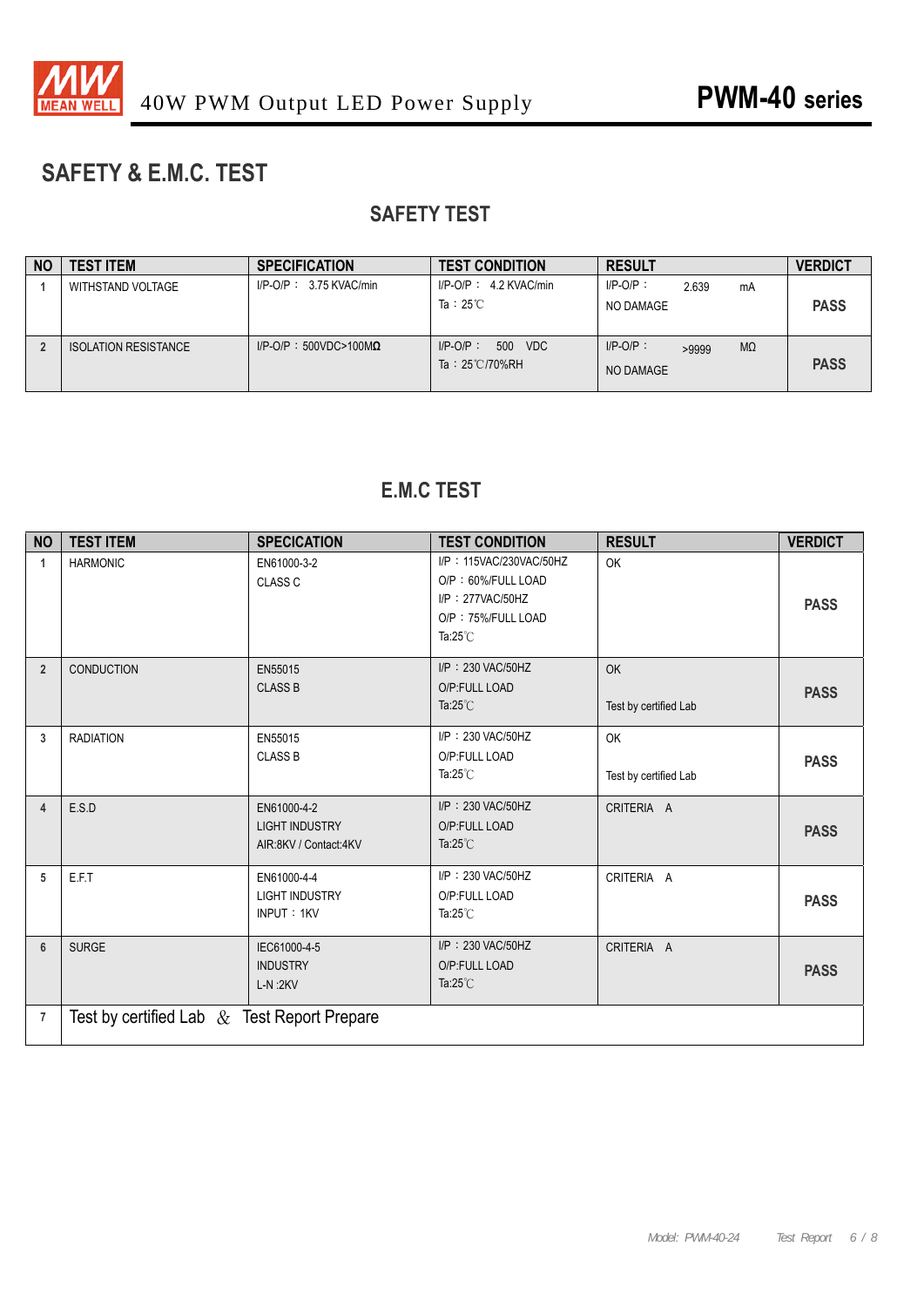

# **SAFETY & E.M.C. TEST**

# **SAFETY TEST**

| <b>NO</b> | <b>TEST ITEM</b>            | <b>SPECIFICATION</b>             | <b>TEST CONDITION</b>                              | <b>RESULT</b>                                  | <b>VERDICT</b> |
|-----------|-----------------------------|----------------------------------|----------------------------------------------------|------------------------------------------------|----------------|
|           | WITHSTAND VOLTAGE           | $I/P$ -O/P: 3.75 KVAC/min        | $I/P-O/P$ : 4.2 KVAC/min<br>Ta: $25^{\circ}$ C     | $I/P-O/P$ :<br>2.639<br>mA<br>NO DAMAGE        | <b>PASS</b>    |
|           | <b>ISOLATION RESISTANCE</b> | $I/P$ -O/P: 500VDC>100M $\Omega$ | 500 VDC<br>$I/P-O/P$ :<br>Ta: $25^{\circ}$ C/70%RH | $I/P-O/P$ :<br>$M\Omega$<br>>9999<br>NO DAMAGE | <b>PASS</b>    |

## **E.M.C TEST**

| <b>NO</b>      | <b>TEST ITEM</b>                               | <b>SPECICATION</b>                                            | <b>TEST CONDITION</b>                                                                                         | <b>RESULT</b>               | <b>VERDICT</b> |
|----------------|------------------------------------------------|---------------------------------------------------------------|---------------------------------------------------------------------------------------------------------------|-----------------------------|----------------|
| $\mathbf{1}$   | <b>HARMONIC</b>                                | EN61000-3-2<br><b>CLASS C</b>                                 | I/P: 115VAC/230VAC/50HZ<br>O/P: 60%/FULL LOAD<br>I/P: 277VAC/50HZ<br>O/P: 75%/FULL LOAD<br>Ta: $25^{\circ}$ C | OK                          | <b>PASS</b>    |
| $\overline{2}$ | CONDUCTION                                     | EN55015<br><b>CLASS B</b>                                     | I/P: 230 VAC/50HZ<br>O/P:FULL LOAD<br>Ta: $25^{\circ}$ C                                                      | OK<br>Test by certified Lab | <b>PASS</b>    |
| 3              | <b>RADIATION</b>                               | EN55015<br><b>CLASS B</b>                                     | I/P: 230 VAC/50HZ<br>O/P:FULL LOAD<br>Ta: $25^{\circ}$ C                                                      | OK<br>Test by certified Lab | <b>PASS</b>    |
| 4              | E.S.D                                          | EN61000-4-2<br><b>LIGHT INDUSTRY</b><br>AIR:8KV / Contact:4KV | I/P: 230 VAC/50HZ<br>O/P:FULL LOAD<br>Ta: $25^{\circ}$ C                                                      | CRITERIA A                  | <b>PASS</b>    |
| 5              | E.F.T                                          | EN61000-4-4<br><b>LIGHT INDUSTRY</b><br>INPUT: 1KV            | I/P: 230 VAC/50HZ<br>O/P:FULL LOAD<br>Ta: $25^{\circ}$ C                                                      | CRITERIA A                  | <b>PASS</b>    |
| 6              | <b>SURGE</b>                                   | IEC61000-4-5<br><b>INDUSTRY</b><br>$L-N:2KV$                  | I/P: 230 VAC/50HZ<br>O/P:FULL LOAD<br>Ta: $25^{\circ}$ C                                                      | CRITERIA A                  | <b>PASS</b>    |
| $\overline{7}$ | Test by certified Lab $\&$ Test Report Prepare |                                                               |                                                                                                               |                             |                |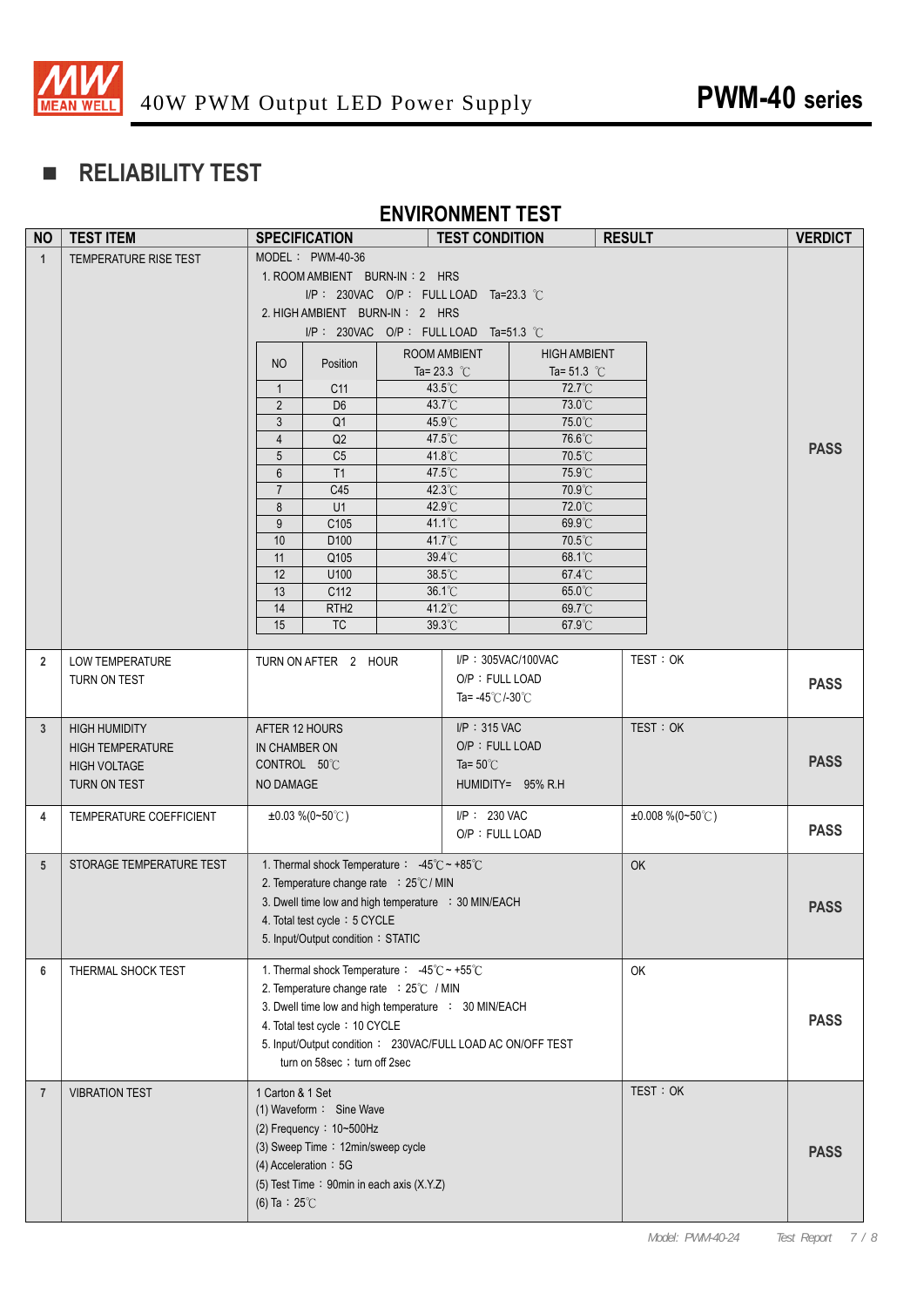

# **RELIABILITY TEST**

#### **ENVIRONMENT TEST**

| <b>NO</b>       | <b>TEST ITEM</b>         |                         | <b>SPECIFICATION</b>                                              |  | <b>TEST CONDITION</b>                |                     | <b>RESULT</b> |                     | <b>VERDICT</b> |
|-----------------|--------------------------|-------------------------|-------------------------------------------------------------------|--|--------------------------------------|---------------------|---------------|---------------------|----------------|
| $\mathbf{1}$    | TEMPERATURE RISE TEST    | MODEL : PWM-40-36       |                                                                   |  |                                      |                     |               |                     |                |
|                 |                          |                         | 1. ROOM AMBIENT BURN-IN: 2 HRS                                    |  |                                      |                     |               |                     |                |
|                 |                          |                         | I/P: 230VAC O/P: FULL LOAD Ta=23.3 °C                             |  |                                      |                     |               |                     |                |
|                 |                          |                         | 2. HIGH AMBIENT BURN-IN: 2 HRS                                    |  |                                      |                     |               |                     |                |
|                 |                          |                         | I/P: 230VAC O/P: FULL LOAD Ta=51.3 °C                             |  |                                      |                     |               |                     |                |
|                 |                          | NO                      | Position                                                          |  | ROOM AMBIENT                         | <b>HIGH AMBIENT</b> |               |                     |                |
|                 |                          |                         |                                                                   |  | Ta= $23.3$ °C                        | Ta= 51.3 $°C$       |               |                     |                |
|                 |                          | $\overline{1}$          | C <sub>11</sub>                                                   |  | 43.5°C                               | 72.7°C              |               |                     |                |
|                 |                          | $\overline{2}$          | D <sub>6</sub>                                                    |  | 43.7°C                               | 73.0°C              |               |                     |                |
|                 |                          | 3<br>$\overline{4}$     | Q <sub>1</sub><br>Q2                                              |  | 45.9°C<br>47.5°C                     | 75.0°C<br>76.6°C    |               |                     |                |
|                 |                          | 5                       | C <sub>5</sub>                                                    |  | 41.8°C                               | 70.5°C              |               |                     | <b>PASS</b>    |
|                 |                          | $6\phantom{1}$          | T1                                                                |  | 47.5°C                               | 75.9°C              |               |                     |                |
|                 |                          | $\overline{7}$          | C45                                                               |  | 42.3°C                               | 70.9°C              |               |                     |                |
|                 |                          | 8                       | U1                                                                |  | 42.9°C                               | 72.0°C              |               |                     |                |
|                 |                          | 9                       | C105                                                              |  | 41.1°C                               | 69.9°C              |               |                     |                |
|                 |                          | $10$                    | D <sub>100</sub>                                                  |  | 41.7°C                               | 70.5°C              |               |                     |                |
|                 |                          | 11<br>12                | Q105<br>U100                                                      |  | 39.4°C<br>38.5°C                     | 68.1°C<br>67.4°C    |               |                     |                |
|                 |                          | 13                      | C112                                                              |  | 36.1°C                               | 65.0°C              |               |                     |                |
|                 |                          | 14                      | RTH <sub>2</sub>                                                  |  | 41.2°C                               | 69.7°C              |               |                     |                |
|                 |                          | 15                      | <b>TC</b>                                                         |  | 39.3°C                               | 67.9°C              |               |                     |                |
|                 |                          |                         |                                                                   |  |                                      |                     |               |                     |                |
| $\overline{2}$  | LOW TEMPERATURE          |                         | TURN ON AFTER 2 HOUR                                              |  | I/P: 305VAC/100VAC                   |                     |               | TEST: OK            |                |
|                 | TURN ON TEST             |                         |                                                                   |  | O/P: FULL LOAD                       |                     |               |                     | <b>PASS</b>    |
|                 |                          |                         |                                                                   |  | Ta= $-45^{\circ}$ C/-30 $^{\circ}$ C |                     |               |                     |                |
| 3 <sup>5</sup>  | <b>HIGH HUMIDITY</b>     | AFTER 12 HOURS          |                                                                   |  | $I/P$ : 315 VAC                      |                     |               | TEST: OK            |                |
|                 | <b>HIGH TEMPERATURE</b>  | IN CHAMBER ON           |                                                                   |  | O/P: FULL LOAD                       |                     |               |                     |                |
|                 | <b>HIGH VOLTAGE</b>      | CONTROL 50°C            |                                                                   |  | Ta= $50^{\circ}$ C                   |                     |               |                     | <b>PASS</b>    |
|                 | TURN ON TEST             | NO DAMAGE               |                                                                   |  |                                      | HUMIDITY= 95% R.H   |               |                     |                |
|                 |                          |                         |                                                                   |  |                                      |                     |               |                     |                |
| 4               | TEMPERATURE COEFFICIENT  |                         | $\pm 0.03\%$ (0~50°C)                                             |  | I/P: 230 VAC                         |                     |               | $±0.008\% (0~50°C)$ |                |
|                 |                          |                         |                                                                   |  | O/P: FULL LOAD                       |                     |               |                     | <b>PASS</b>    |
| $5\overline{)}$ | STORAGE TEMPERATURE TEST |                         | 1. Thermal shock Temperature : $-45^{\circ}$ C ~ +85 $^{\circ}$ C |  |                                      |                     | OK            |                     |                |
|                 |                          |                         | 2. Temperature change rate : 25°C / MIN                           |  |                                      |                     |               |                     |                |
|                 |                          |                         | 3. Dwell time low and high temperature : 30 MIN/EACH              |  |                                      |                     |               |                     |                |
|                 |                          |                         | 4. Total test cycle: 5 CYCLE                                      |  |                                      |                     |               |                     | <b>PASS</b>    |
|                 |                          |                         | 5. Input/Output condition: STATIC                                 |  |                                      |                     |               |                     |                |
|                 |                          |                         |                                                                   |  |                                      |                     |               |                     |                |
| 6               | THERMAL SHOCK TEST       |                         | 1. Thermal shock Temperature : $-45^{\circ}$ C ~ +55 $^{\circ}$ C |  |                                      |                     | <b>OK</b>     |                     |                |
|                 |                          |                         | 2. Temperature change rate : 25°C / MIN                           |  |                                      |                     |               |                     |                |
|                 |                          |                         | 3. Dwell time low and high temperature : 30 MIN/EACH              |  |                                      |                     |               |                     | <b>PASS</b>    |
|                 |                          |                         | 4. Total test cycle: 10 CYCLE                                     |  |                                      |                     |               |                     |                |
|                 |                          |                         | 5. Input/Output condition: 230VAC/FULL LOAD AC ON/OFF TEST        |  |                                      |                     |               |                     |                |
|                 |                          |                         | turn on 58sec ; turn off 2sec                                     |  |                                      |                     |               |                     |                |
| $\overline{7}$  | <b>VIBRATION TEST</b>    | 1 Carton & 1 Set        |                                                                   |  |                                      |                     |               | TEST: OK            |                |
|                 |                          |                         | (1) Waveform: Sine Wave                                           |  |                                      |                     |               |                     |                |
|                 |                          |                         | (2) Frequency: $10-500$ Hz                                        |  |                                      |                     |               |                     |                |
|                 |                          |                         | (3) Sweep Time: 12min/sweep cycle                                 |  |                                      |                     |               |                     | <b>PASS</b>    |
|                 |                          |                         | $(4)$ Acceleration: 5G                                            |  |                                      |                     |               |                     |                |
|                 |                          |                         | (5) Test Time: 90min in each axis (X.Y.Z)                         |  |                                      |                     |               |                     |                |
|                 |                          | (6) Ta : $25^{\circ}$ C |                                                                   |  |                                      |                     |               |                     |                |
|                 |                          |                         |                                                                   |  |                                      |                     |               |                     |                |